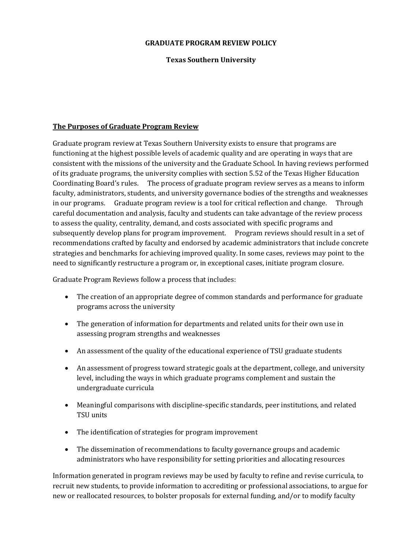#### **GRADUATE PROGRAM REVIEW POLICY**

## **Texas Southern University**

### **The Purposes of Graduate Program Review**

Graduate program review at Texas Southern University exists to ensure that programs are functioning at the highest possible levels of academic quality and are operating in ways that are consistent with the missions of the university and the Graduate School. In having reviews performed of its graduate programs, the university complies with section 5.52 of the Texas Higher Education Coordinating Board's rules. The process of graduate program review serves as a means to inform faculty, administrators, students, and university governance bodies of the strengths and weaknesses in our programs. Graduate program review is a tool for critical reflection and change. Through careful documentation and analysis, faculty and students can take advantage of the review process to assess the quality, centrality, demand, and costs associated with specific programs and subsequently develop plans for program improvement. Program reviews should result in a set of recommendations crafted by faculty and endorsed by academic administrators that include concrete strategies and benchmarks for achieving improved quality. In some cases, reviews may point to the need to significantly restructure a program or, in exceptional cases, initiate program closure.

Graduate Program Reviews follow a process that includes:

- The creation of an appropriate degree of common standards and performance for graduate programs across the university
- The generation of information for departments and related units for their own use in assessing program strengths and weaknesses
- An assessment of the quality of the educational experience of TSU graduate students
- An assessment of progress toward strategic goals at the department, college, and university level, including the ways in which graduate programs complement and sustain the undergraduate curricula
- Meaningful comparisons with discipline-specific standards, peer institutions, and related TSU units
- The identification of strategies for program improvement
- The dissemination of recommendations to faculty governance groups and academic administrators who have responsibility for setting priorities and allocating resources

Information generated in program reviews may be used by faculty to refine and revise curricula, to recruit new students, to provide information to accrediting or professional associations, to argue for new or reallocated resources, to bolster proposals for external funding, and/or to modify faculty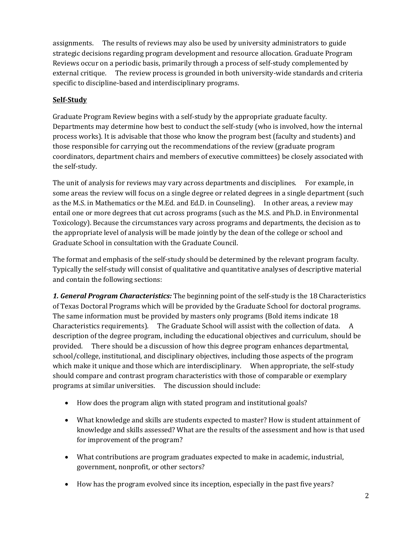assignments. The results of reviews may also be used by university administrators to guide strategic decisions regarding program development and resource allocation. Graduate Program Reviews occur on a periodic basis, primarily through a process of self-study complemented by external critique. The review process is grounded in both university-wide standards and criteria specific to discipline-based and interdisciplinary programs.

# **Self-Study**

Graduate Program Review begins with a self-study by the appropriate graduate faculty. Departments may determine how best to conduct the self-study (who is involved, how the internal process works). It is advisable that those who know the program best (faculty and students) and those responsible for carrying out the recommendations of the review (graduate program coordinators, department chairs and members of executive committees) be closely associated with the self-study.

The unit of analysis for reviews may vary across departments and disciplines. For example, in some areas the review will focus on a single degree or related degrees in a single department (such as the M.S. in Mathematics or the M.Ed. and Ed.D. in Counseling). In other areas, a review may entail one or more degrees that cut across programs (such as the M.S. and Ph.D. in Environmental Toxicology). Because the circumstances vary across programs and departments, the decision as to the appropriate level of analysis will be made jointly by the dean of the college or school and Graduate School in consultation with the Graduate Council.

The format and emphasis of the self-study should be determined by the relevant program faculty. Typically the self-study will consist of qualitative and quantitative analyses of descriptive material and contain the following sections:

*1. General Program Characteristics:* The beginning point of the self-study is the 18 Characteristics of Texas Doctoral Programs which will be provided by the Graduate School for doctoral programs. The same information must be provided by masters only programs (Bold items indicate 18 Characteristics requirements). The Graduate School will assist with the collection of data. A description of the degree program, including the educational objectives and curriculum, should be provided. There should be a discussion of how this degree program enhances departmental, school/college, institutional, and disciplinary objectives, including those aspects of the program which make it unique and those which are interdisciplinary. When appropriate, the self-study should compare and contrast program characteristics with those of comparable or exemplary programs at similar universities. The discussion should include:

- How does the program align with stated program and institutional goals?
- What knowledge and skills are students expected to master? How is student attainment of knowledge and skills assessed? What are the results of the assessment and how is that used for improvement of the program?
- What contributions are program graduates expected to make in academic, industrial, government, nonprofit, or other sectors?
- How has the program evolved since its inception, especially in the past five years?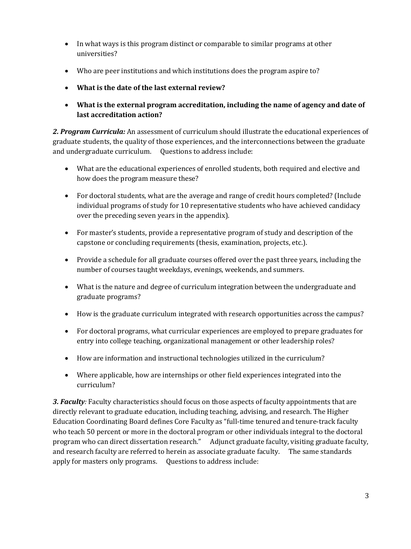- In what ways is this program distinct or comparable to similar programs at other universities?
- Who are peer institutions and which institutions does the program aspire to?
- **What is the date of the last external review?**
- **What is the external program accreditation, including the name of agency and date of last accreditation action?**

*2. Program Curricula:* An assessment of curriculum should illustrate the educational experiences of graduate students, the quality of those experiences, and the interconnections between the graduate and undergraduate curriculum. Questions to address include:

- What are the educational experiences of enrolled students, both required and elective and how does the program measure these?
- For doctoral students, what are the average and range of credit hours completed? (Include individual programs of study for 10 representative students who have achieved candidacy over the preceding seven years in the appendix).
- For master's students, provide a representative program of study and description of the capstone or concluding requirements (thesis, examination, projects, etc.).
- Provide a schedule for all graduate courses offered over the past three years, including the number of courses taught weekdays, evenings, weekends, and summers.
- What is the nature and degree of curriculum integration between the undergraduate and graduate programs?
- How is the graduate curriculum integrated with research opportunities across the campus?
- For doctoral programs, what curricular experiences are employed to prepare graduates for entry into college teaching, organizational management or other leadership roles?
- How are information and instructional technologies utilized in the curriculum?
- Where applicable, how are internships or other field experiences integrated into the curriculum?

*3. Faculty:* Faculty characteristics should focus on those aspects of faculty appointments that are directly relevant to graduate education, including teaching, advising, and research. The Higher Education Coordinating Board defines Core Faculty as "full-time tenured and tenure-track faculty who teach 50 percent or more in the doctoral program or other individuals integral to the doctoral program who can direct dissertation research." Adjunct graduate faculty, visiting graduate faculty, and research faculty are referred to herein as associate graduate faculty. The same standards apply for masters only programs. Questions to address include: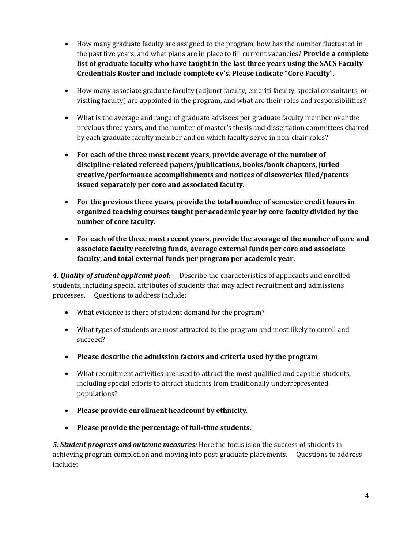- How many graduate faculty are assigned to the program, how has the number fluctuated in the past five years, and what plans are in place to fill current vacancies? **Provide a complete list of graduate faculty who have taught in the last three years using the SACS Faculty Credentials Roster and include complete cv's. Please indicate "Core Faculty".**
- How many associate graduate faculty (adjunct faculty, emeriti faculty, special consultants, or visiting faculty) are appointed in the program, and what are their roles and responsibilities?
- What is the average and range of graduate advisees per graduate faculty member over the previous three years, and the number of master's thesis and dissertation committees chaired by each graduate faculty member and on which faculty serve in non-chair roles?
- **For each of the three most recent years, provide average of the number of discipline-related refereed papers/publications, books/book chapters, juried creative/performance accomplishments and notices of discoveries filed/patents issued separately per core and associated faculty.**
- **For the previous three years, provide the total number of semester credit hours in organized teaching courses taught per academic year by core faculty divided by the number of core faculty.**
- **For each of the three most recent years, provide the average of the number of core and associate faculty receiving funds, average external funds per core and associate faculty, and total external funds per program per academic year.**

*4. Quality of student applicant pool:* Describe the characteristics of applicants and enrolled students, including special attributes of students that may affect recruitment and admissions processes. Questions to address include:

- What evidence is there of student demand for the program?
- What types of students are most attracted to the program and most likely to enroll and succeed?
- **Please describe the admission factors and criteria used by the program**.
- What recruitment activities are used to attract the most qualified and capable students, including special efforts to attract students from traditionally underrepresented populations?
- **Please provide enrollment headcount by ethnicity**.
- **Please provide the percentage of full-time students.**

*5. Student progress and outcome measures:* Here the focus is on the success of students in achieving program completion and moving into post-graduate placements. Questions to address include: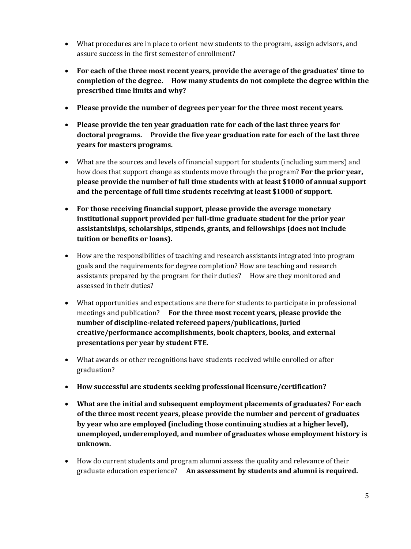- What procedures are in place to orient new students to the program, assign advisors, and assure success in the first semester of enrollment?
- **For each of the three most recent years, provide the average of the graduates' time to completion of the degree. How many students do not complete the degree within the prescribed time limits and why?**
- **Please provide the number of degrees per year for the three most recent years**.
- **Please provide the ten year graduation rate for each of the last three years for doctoral programs. Provide the five year graduation rate for each of the last three years for masters programs.**
- What are the sources and levels of financial support for students (including summers) and how does that support change as students move through the program? **For the prior year, please provide the number of full time students with at least \$1000 of annual support and the percentage of full time students receiving at least \$1000 of support.**
- **For those receiving financial support, please provide the average monetary institutional support provided per full-time graduate student for the prior year assistantships, scholarships, stipends, grants, and fellowships (does not include tuition or benefits or loans).**
- How are the responsibilities of teaching and research assistants integrated into program goals and the requirements for degree completion? How are teaching and research assistants prepared by the program for their duties? How are they monitored and assessed in their duties?
- What opportunities and expectations are there for students to participate in professional meetings and publication? **For the three most recent years, please provide the number of discipline-related refereed papers/publications, juried creative/performance accomplishments, book chapters, books, and external presentations per year by student FTE.**
- What awards or other recognitions have students received while enrolled or after graduation?
- **How successful are students seeking professional licensure/certification?**
- **What are the initial and subsequent employment placements of graduates? For each of the three most recent years, please provide the number and percent of graduates by year who are employed (including those continuing studies at a higher level), unemployed, underemployed, and number of graduates whose employment history is unknown.**
- How do current students and program alumni assess the quality and relevance of their graduate education experience? **An assessment by students and alumni is required.**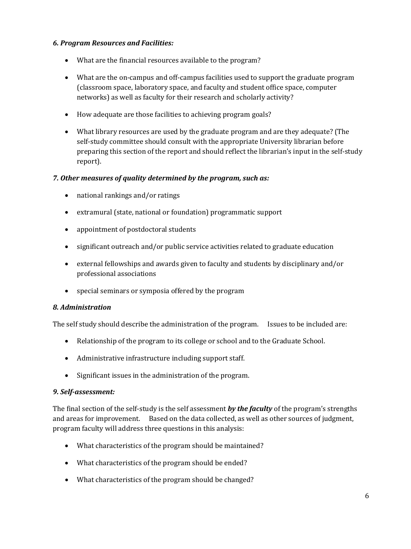# *6. Program Resources and Facilities:*

- What are the financial resources available to the program?
- What are the on-campus and off-campus facilities used to support the graduate program (classroom space, laboratory space, and faculty and student office space, computer networks) as well as faculty for their research and scholarly activity?
- How adequate are those facilities to achieving program goals?
- What library resources are used by the graduate program and are they adequate? (The self-study committee should consult with the appropriate University librarian before preparing this section of the report and should reflect the librarian's input in the self-study report).

# *7. Other measures of quality determined by the program, such as:*

- national rankings and/or ratings
- extramural (state, national or foundation) programmatic support
- appointment of postdoctoral students
- significant outreach and/or public service activities related to graduate education
- external fellowships and awards given to faculty and students by disciplinary and/or professional associations
- special seminars or symposia offered by the program

# *8. Administration*

The self study should describe the administration of the program. Issues to be included are:

- Relationship of the program to its college or school and to the Graduate School.
- Administrative infrastructure including support staff.
- Significant issues in the administration of the program.

#### *9. Self-assessment:*

The final section of the self-study is the self assessment *by the faculty* of the program's strengths and areas for improvement. Based on the data collected, as well as other sources of judgment, program faculty will address three questions in this analysis:

- What characteristics of the program should be maintained?
- What characteristics of the program should be ended?
- What characteristics of the program should be changed?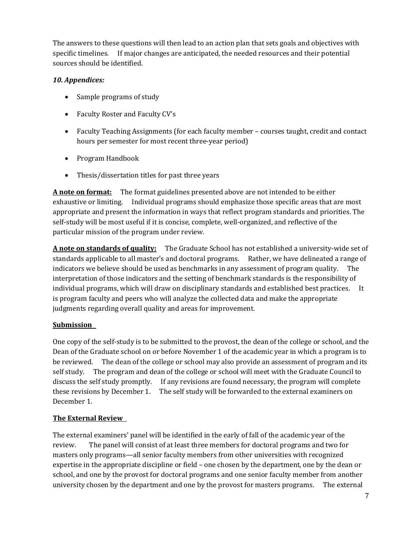The answers to these questions will then lead to an action plan that sets goals and objectives with specific timelines. If major changes are anticipated, the needed resources and their potential sources should be identified.

# *10. Appendices:*

- Sample programs of study
- Faculty Roster and Faculty CV's
- Faculty Teaching Assignments (for each faculty member courses taught, credit and contact hours per semester for most recent three-year period)
- Program Handbook
- Thesis/dissertation titles for past three years

**A note on format:** The format guidelines presented above are not intended to be either exhaustive or limiting. Individual programs should emphasize those specific areas that are most appropriate and present the information in ways that reflect program standards and priorities. The self-study will be most useful if it is concise, complete, well-organized, and reflective of the particular mission of the program under review.

**A note on standards of quality:** The Graduate School has not established a university-wide set of standards applicable to all master's and doctoral programs. Rather, we have delineated a range of indicators we believe should be used as benchmarks in any assessment of program quality. The interpretation of those indicators and the setting of benchmark standards is the responsibility of individual programs, which will draw on disciplinary standards and established best practices. It is program faculty and peers who will analyze the collected data and make the appropriate judgments regarding overall quality and areas for improvement.

# **Submission**

One copy of the self-study is to be submitted to the provost, the dean of the college or school, and the Dean of the Graduate school on or before November 1 of the academic year in which a program is to be reviewed. The dean of the college or school may also provide an assessment of program and its self study. The program and dean of the college or school will meet with the Graduate Council to discuss the self study promptly. If any revisions are found necessary, the program will complete these revisions by December 1. The self study will be forwarded to the external examiners on December 1.

# **The External Review**

The external examiners' panel will be identified in the early of fall of the academic year of the review. The panel will consist of at least three members for doctoral programs and two for masters only programs—all senior faculty members from other universities with recognized expertise in the appropriate discipline or field – one chosen by the department, one by the dean or school, and one by the provost for doctoral programs and one senior faculty member from another university chosen by the department and one by the provost for masters programs. The external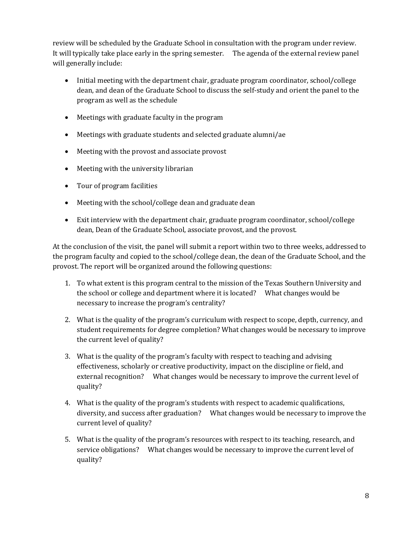review will be scheduled by the Graduate School in consultation with the program under review. It will typically take place early in the spring semester. The agenda of the external review panel will generally include:

- Initial meeting with the department chair, graduate program coordinator, school/college dean, and dean of the Graduate School to discuss the self-study and orient the panel to the program as well as the schedule
- Meetings with graduate faculty in the program
- Meetings with graduate students and selected graduate alumni/ae
- Meeting with the provost and associate provost
- Meeting with the university librarian
- Tour of program facilities
- Meeting with the school/college dean and graduate dean
- Exit interview with the department chair, graduate program coordinator, school/college dean, Dean of the Graduate School, associate provost, and the provost.

At the conclusion of the visit, the panel will submit a report within two to three weeks, addressed to the program faculty and copied to the school/college dean, the dean of the Graduate School, and the provost. The report will be organized around the following questions:

- 1. To what extent is this program central to the mission of the Texas Southern University and the school or college and department where it is located? What changes would be necessary to increase the program's centrality?
- 2. What is the quality of the program's curriculum with respect to scope, depth, currency, and student requirements for degree completion? What changes would be necessary to improve the current level of quality?
- 3. What is the quality of the program's faculty with respect to teaching and advising effectiveness, scholarly or creative productivity, impact on the discipline or field, and external recognition? What changes would be necessary to improve the current level of quality?
- 4. What is the quality of the program's students with respect to academic qualifications, diversity, and success after graduation? What changes would be necessary to improve the current level of quality?
- 5. What is the quality of the program's resources with respect to its teaching, research, and service obligations? What changes would be necessary to improve the current level of quality?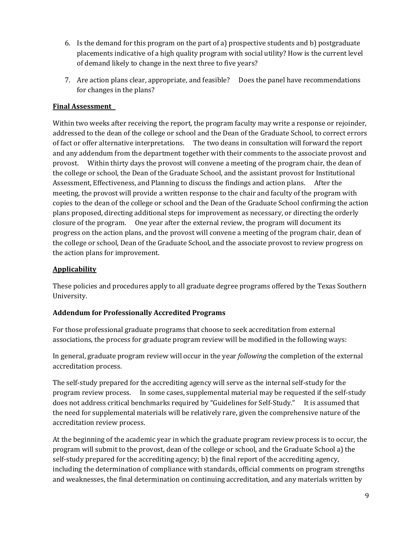- 6. Is the demand for this program on the part of a) prospective students and b) postgraduate placements indicative of a high quality program with social utility? How is the current level of demand likely to change in the next three to five years?
- 7. Are action plans clear, appropriate, and feasible? Does the panel have recommendations for changes in the plans?

## **Final Assessment**

Within two weeks after receiving the report, the program faculty may write a response or rejoinder, addressed to the dean of the college or school and the Dean of the Graduate School, to correct errors of fact or offer alternative interpretations. The two deans in consultation will forward the report and any addendum from the department together with their comments to the associate provost and provost. Within thirty days the provost will convene a meeting of the program chair, the dean of the college or school, the Dean of the Graduate School, and the assistant provost for Institutional Assessment, Effectiveness, and Planning to discuss the findings and action plans. After the meeting, the provost will provide a written response to the chair and faculty of the program with copies to the dean of the college or school and the Dean of the Graduate School confirming the action plans proposed, directing additional steps for improvement as necessary, or directing the orderly closure of the program. One year after the external review, the program will document its progress on the action plans, and the provost will convene a meeting of the program chair, dean of the college or school, Dean of the Graduate School, and the associate provost to review progress on the action plans for improvement.

### **Applicability**

These policies and procedures apply to all graduate degree programs offered by the Texas Southern University.

#### **Addendum for Professionally Accredited Programs**

For those professional graduate programs that choose to seek accreditation from external associations, the process for graduate program review will be modified in the following ways:

In general, graduate program review will occur in the year *following* the completion of the external accreditation process.

The self-study prepared for the accrediting agency will serve as the internal self-study for the program review process. In some cases, supplemental material may be requested if the self-study does not address critical benchmarks required by "Guidelines for Self-Study." It is assumed that the need for supplemental materials will be relatively rare, given the comprehensive nature of the accreditation review process.

At the beginning of the academic year in which the graduate program review process is to occur, the program will submit to the provost, dean of the college or school, and the Graduate School a) the self-study prepared for the accrediting agency; b) the final report of the accrediting agency, including the determination of compliance with standards, official comments on program strengths and weaknesses, the final determination on continuing accreditation, and any materials written by